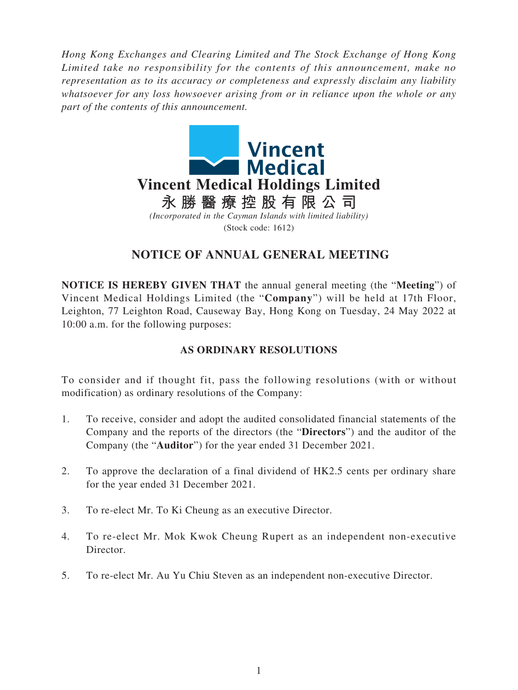*Hong Kong Exchanges and Clearing Limited and The Stock Exchange of Hong Kong Limited take no responsibility for the contents of this announcement, make no representation as to its accuracy or completeness and expressly disclaim any liability whatsoever for any loss howsoever arising from or in reliance upon the whole or any part of the contents of this announcement.*



# **NOTICE OF ANNUAL GENERAL MEETING**

**NOTICE IS HEREBY GIVEN THAT** the annual general meeting (the "**Meeting**") of Vincent Medical Holdings Limited (the "**Company**") will be held at 17th Floor, Leighton, 77 Leighton Road, Causeway Bay, Hong Kong on Tuesday, 24 May 2022 at 10:00 a.m. for the following purposes:

### **AS ORDINARY RESOLUTIONS**

To consider and if thought fit, pass the following resolutions (with or without modification) as ordinary resolutions of the Company:

- 1. To receive, consider and adopt the audited consolidated financial statements of the Company and the reports of the directors (the "**Directors**") and the auditor of the Company (the "**Auditor**") for the year ended 31 December 2021.
- 2. To approve the declaration of a final dividend of HK2.5 cents per ordinary share for the year ended 31 December 2021.
- 3. To re-elect Mr. To Ki Cheung as an executive Director.
- 4. To re-elect Mr. Mok Kwok Cheung Rupert as an independent non-executive Director.
- 5. To re-elect Mr. Au Yu Chiu Steven as an independent non-executive Director.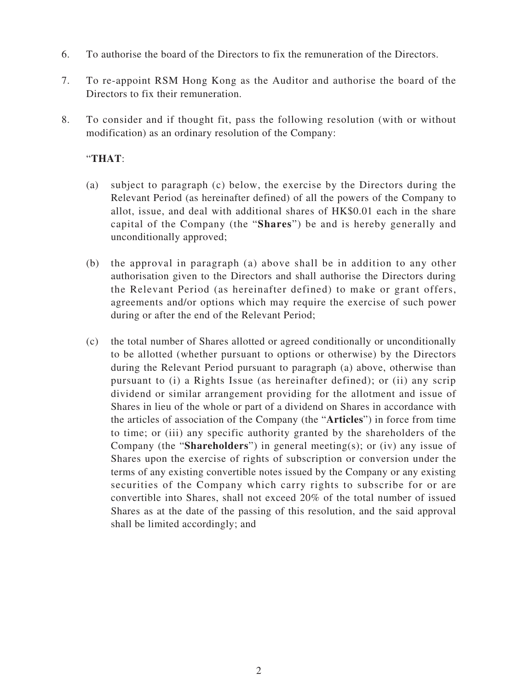- 6. To authorise the board of the Directors to fix the remuneration of the Directors.
- 7. To re-appoint RSM Hong Kong as the Auditor and authorise the board of the Directors to fix their remuneration.
- 8. To consider and if thought fit, pass the following resolution (with or without modification) as an ordinary resolution of the Company:

### "**THAT**:

- (a) subject to paragraph (c) below, the exercise by the Directors during the Relevant Period (as hereinafter defined) of all the powers of the Company to allot, issue, and deal with additional shares of HK\$0.01 each in the share capital of the Company (the "**Shares**") be and is hereby generally and unconditionally approved;
- (b) the approval in paragraph (a) above shall be in addition to any other authorisation given to the Directors and shall authorise the Directors during the Relevant Period (as hereinafter defined) to make or grant offers, agreements and/or options which may require the exercise of such power during or after the end of the Relevant Period;
- (c) the total number of Shares allotted or agreed conditionally or unconditionally to be allotted (whether pursuant to options or otherwise) by the Directors during the Relevant Period pursuant to paragraph (a) above, otherwise than pursuant to (i) a Rights Issue (as hereinafter defined); or (ii) any scrip dividend or similar arrangement providing for the allotment and issue of Shares in lieu of the whole or part of a dividend on Shares in accordance with the articles of association of the Company (the "**Articles**") in force from time to time; or (iii) any specific authority granted by the shareholders of the Company (the "**Shareholders**") in general meeting(s); or (iv) any issue of Shares upon the exercise of rights of subscription or conversion under the terms of any existing convertible notes issued by the Company or any existing securities of the Company which carry rights to subscribe for or are convertible into Shares, shall not exceed 20% of the total number of issued Shares as at the date of the passing of this resolution, and the said approval shall be limited accordingly; and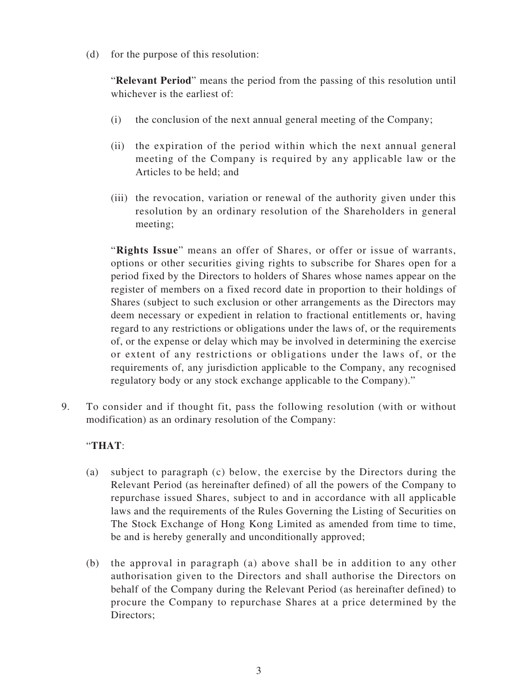(d) for the purpose of this resolution:

"**Relevant Period**" means the period from the passing of this resolution until whichever is the earliest of:

- (i) the conclusion of the next annual general meeting of the Company;
- (ii) the expiration of the period within which the next annual general meeting of the Company is required by any applicable law or the Articles to be held; and
- (iii) the revocation, variation or renewal of the authority given under this resolution by an ordinary resolution of the Shareholders in general meeting;

"**Rights Issue**" means an offer of Shares, or offer or issue of warrants, options or other securities giving rights to subscribe for Shares open for a period fixed by the Directors to holders of Shares whose names appear on the register of members on a fixed record date in proportion to their holdings of Shares (subject to such exclusion or other arrangements as the Directors may deem necessary or expedient in relation to fractional entitlements or, having regard to any restrictions or obligations under the laws of, or the requirements of, or the expense or delay which may be involved in determining the exercise or extent of any restrictions or obligations under the laws of, or the requirements of, any jurisdiction applicable to the Company, any recognised regulatory body or any stock exchange applicable to the Company)."

9. To consider and if thought fit, pass the following resolution (with or without modification) as an ordinary resolution of the Company:

## "**THAT**:

- (a) subject to paragraph (c) below, the exercise by the Directors during the Relevant Period (as hereinafter defined) of all the powers of the Company to repurchase issued Shares, subject to and in accordance with all applicable laws and the requirements of the Rules Governing the Listing of Securities on The Stock Exchange of Hong Kong Limited as amended from time to time, be and is hereby generally and unconditionally approved;
- (b) the approval in paragraph (a) above shall be in addition to any other authorisation given to the Directors and shall authorise the Directors on behalf of the Company during the Relevant Period (as hereinafter defined) to procure the Company to repurchase Shares at a price determined by the Directors;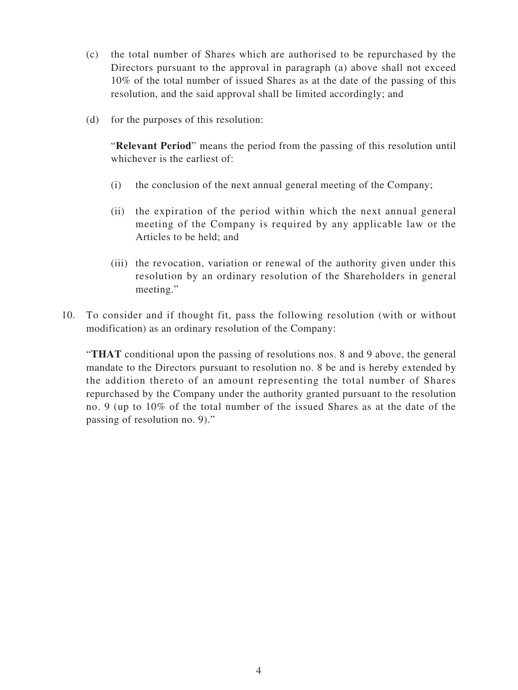- (c) the total number of Shares which are authorised to be repurchased by the Directors pursuant to the approval in paragraph (a) above shall not exceed 10% of the total number of issued Shares as at the date of the passing of this resolution, and the said approval shall be limited accordingly; and
- (d) for the purposes of this resolution:

"**Relevant Period**" means the period from the passing of this resolution until whichever is the earliest of:

- (i) the conclusion of the next annual general meeting of the Company;
- (ii) the expiration of the period within which the next annual general meeting of the Company is required by any applicable law or the Articles to be held; and
- (iii) the revocation, variation or renewal of the authority given under this resolution by an ordinary resolution of the Shareholders in general meeting."
- 10. To consider and if thought fit, pass the following resolution (with or without modification) as an ordinary resolution of the Company:

"**THAT** conditional upon the passing of resolutions nos. 8 and 9 above, the general mandate to the Directors pursuant to resolution no. 8 be and is hereby extended by the addition thereto of an amount representing the total number of Shares repurchased by the Company under the authority granted pursuant to the resolution no. 9 (up to 10% of the total number of the issued Shares as at the date of the passing of resolution no. 9)."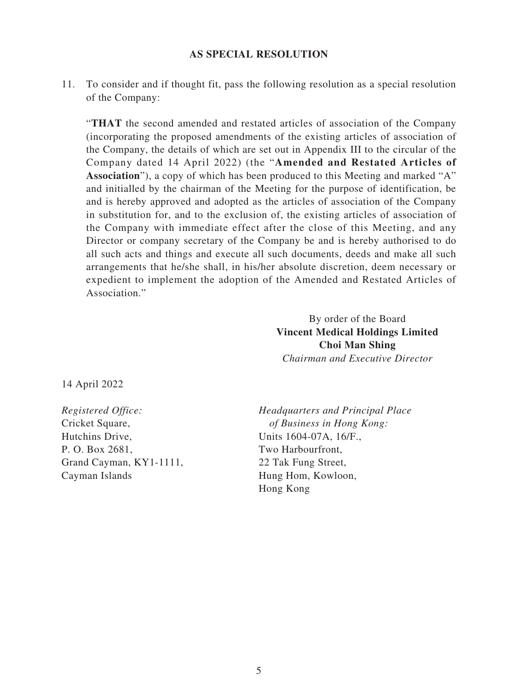#### **AS SPECIAL RESOLUTION**

11. To consider and if thought fit, pass the following resolution as a special resolution of the Company:

"**THAT** the second amended and restated articles of association of the Company (incorporating the proposed amendments of the existing articles of association of the Company, the details of which are set out in Appendix III to the circular of the Company dated 14 April 2022) (the "**Amended and Restated Articles of Association**"), a copy of which has been produced to this Meeting and marked "A" and initialled by the chairman of the Meeting for the purpose of identification, be and is hereby approved and adopted as the articles of association of the Company in substitution for, and to the exclusion of, the existing articles of association of the Company with immediate effect after the close of this Meeting, and any Director or company secretary of the Company be and is hereby authorised to do all such acts and things and execute all such documents, deeds and make all such arrangements that he/she shall, in his/her absolute discretion, deem necessary or expedient to implement the adoption of the Amended and Restated Articles of Association."

> By order of the Board **Vincent Medical Holdings Limited Choi Man Shing** *Chairman and Executive Director*

14 April 2022

*Registered Office:* Cricket Square, Hutchins Drive, P. O. Box 2681, Grand Cayman, KY1-1111, Cayman Islands

*Headquarters and Principal Place of Business in Hong Kong:* Units 1604-07A, 16/F., Two Harbourfront, 22 Tak Fung Street, Hung Hom, Kowloon, Hong Kong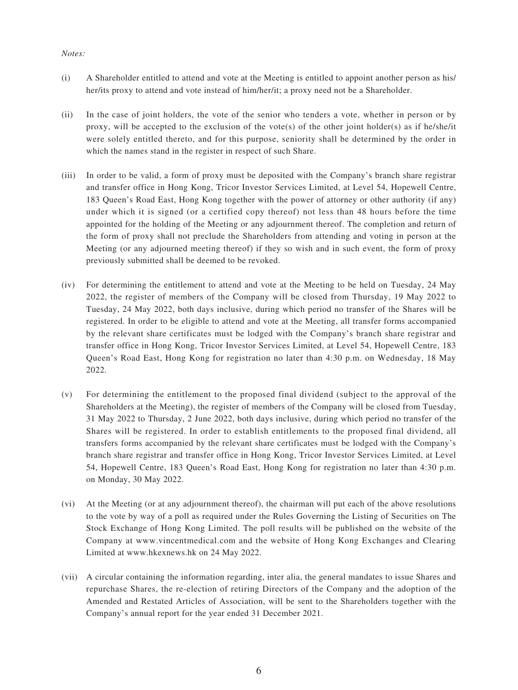#### *Notes:*

- (i) A Shareholder entitled to attend and vote at the Meeting is entitled to appoint another person as his/ her/its proxy to attend and vote instead of him/her/it; a proxy need not be a Shareholder.
- (ii) In the case of joint holders, the vote of the senior who tenders a vote, whether in person or by proxy, will be accepted to the exclusion of the vote(s) of the other joint holder(s) as if he/she/it were solely entitled thereto, and for this purpose, seniority shall be determined by the order in which the names stand in the register in respect of such Share.
- (iii) In order to be valid, a form of proxy must be deposited with the Company's branch share registrar and transfer office in Hong Kong, Tricor Investor Services Limited, at Level 54, Hopewell Centre, 183 Queen's Road East, Hong Kong together with the power of attorney or other authority (if any) under which it is signed (or a certified copy thereof) not less than 48 hours before the time appointed for the holding of the Meeting or any adjournment thereof. The completion and return of the form of proxy shall not preclude the Shareholders from attending and voting in person at the Meeting (or any adjourned meeting thereof) if they so wish and in such event, the form of proxy previously submitted shall be deemed to be revoked.
- (iv) For determining the entitlement to attend and vote at the Meeting to be held on Tuesday, 24 May 2022, the register of members of the Company will be closed from Thursday, 19 May 2022 to Tuesday, 24 May 2022, both days inclusive, during which period no transfer of the Shares will be registered. In order to be eligible to attend and vote at the Meeting, all transfer forms accompanied by the relevant share certificates must be lodged with the Company's branch share registrar and transfer office in Hong Kong, Tricor Investor Services Limited, at Level 54, Hopewell Centre, 183 Queen's Road East, Hong Kong for registration no later than 4:30 p.m. on Wednesday, 18 May 2022.
- (v) For determining the entitlement to the proposed final dividend (subject to the approval of the Shareholders at the Meeting), the register of members of the Company will be closed from Tuesday, 31 May 2022 to Thursday, 2 June 2022, both days inclusive, during which period no transfer of the Shares will be registered. In order to establish entitlements to the proposed final dividend, all transfers forms accompanied by the relevant share certificates must be lodged with the Company's branch share registrar and transfer office in Hong Kong, Tricor Investor Services Limited, at Level 54, Hopewell Centre, 183 Queen's Road East, Hong Kong for registration no later than 4:30 p.m. on Monday, 30 May 2022.
- (vi) At the Meeting (or at any adjournment thereof), the chairman will put each of the above resolutions to the vote by way of a poll as required under the Rules Governing the Listing of Securities on The Stock Exchange of Hong Kong Limited. The poll results will be published on the website of the Company at www.vincentmedical.com and the website of Hong Kong Exchanges and Clearing Limited at www.hkexnews.hk on 24 May 2022.
- (vii) A circular containing the information regarding, inter alia, the general mandates to issue Shares and repurchase Shares, the re-election of retiring Directors of the Company and the adoption of the Amended and Restated Articles of Association, will be sent to the Shareholders together with the Company's annual report for the year ended 31 December 2021.